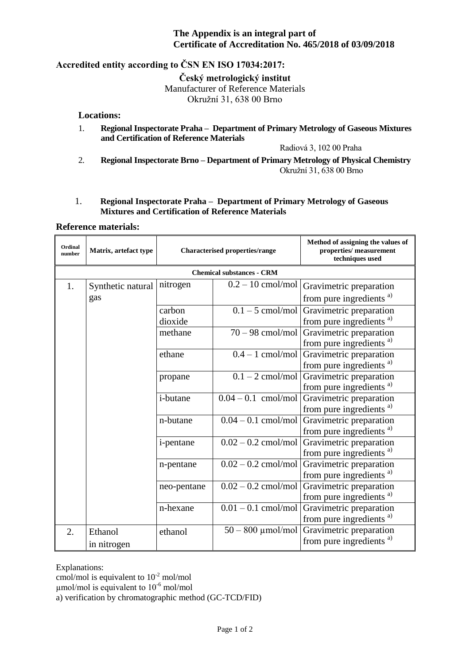#### **The Appendix is an integral part of Certificate of Accreditation No. 465/2018 of 03/09/2018**

## **Accredited entity according to ČSN EN ISO 17034:2017:**

**Český metrologický institut**

Manufacturer of Reference Materials

Okružní 31, 638 00 Brno

#### **Locations:**

1. **Regional Inspectorate Praha – Department of Primary Metrology of Gaseous Mixtures and Certification of Reference Materials**

Radiová 3, 102 00 Praha

2. **Regional Inspectorate Brno – Department of Primary Metrology of Physical Chemistry** Okružní 31, 638 00 Brno

#### 1. **Regional Inspectorate Praha – Department of Primary Metrology of Gaseous Mixtures and Certification of Reference Materials**

#### **Reference materials:**

| Ordinal<br>number                | Matrix, artefact type    | <b>Characterised properties/range</b> |                       | Method of assigning the values of<br>properties/ measurement<br>techniques used |  |  |
|----------------------------------|--------------------------|---------------------------------------|-----------------------|---------------------------------------------------------------------------------|--|--|
| <b>Chemical substances - CRM</b> |                          |                                       |                       |                                                                                 |  |  |
| 1.                               | Synthetic natural<br>gas | nitrogen                              | $0.2 - 10$ cmol/mol   | Gravimetric preparation                                                         |  |  |
|                                  |                          |                                       |                       | from pure ingredients <sup>a)</sup>                                             |  |  |
|                                  |                          | carbon                                | $0.1 - 5$ cmol/mol    | Gravimetric preparation                                                         |  |  |
|                                  |                          | dioxide                               |                       | from pure ingredients <sup>a)</sup>                                             |  |  |
|                                  |                          | methane                               | $70 - 98$ cmol/mol    | Gravimetric preparation                                                         |  |  |
|                                  |                          |                                       |                       | from pure ingredients <sup>a)</sup>                                             |  |  |
|                                  |                          | ethane                                | $0.4 - 1$ cmol/mol    | Gravimetric preparation                                                         |  |  |
|                                  |                          |                                       |                       | from pure ingredients <sup>a)</sup>                                             |  |  |
|                                  |                          | propane                               | $0.1 - 2$ cmol/mol    | Gravimetric preparation                                                         |  |  |
|                                  |                          |                                       |                       | from pure ingredients <sup>a)</sup>                                             |  |  |
|                                  |                          | i-butane                              | $0.04 - 0.1$ cmol/mol | Gravimetric preparation                                                         |  |  |
|                                  |                          |                                       |                       | from pure ingredients <sup>a)</sup>                                             |  |  |
|                                  |                          | n-butane                              | $0.04 - 0.1$ cmol/mol | Gravimetric preparation                                                         |  |  |
|                                  |                          |                                       |                       | from pure ingredients <sup>a)</sup>                                             |  |  |
|                                  |                          | <i>i</i> -pentane                     | $0.02 - 0.2$ cmol/mol | Gravimetric preparation                                                         |  |  |
|                                  |                          |                                       |                       | from pure ingredients <sup>a)</sup>                                             |  |  |
|                                  |                          | n-pentane                             | $0.02 - 0.2$ cmol/mol | Gravimetric preparation                                                         |  |  |
|                                  |                          |                                       |                       | from pure ingredients <sup>a)</sup>                                             |  |  |
|                                  |                          | neo-pentane                           | $0.02 - 0.2$ cmol/mol | Gravimetric preparation                                                         |  |  |
|                                  |                          |                                       |                       | from pure ingredients <sup>a)</sup>                                             |  |  |
|                                  |                          | n-hexane                              | $0.01 - 0.1$ cmol/mol | Gravimetric preparation                                                         |  |  |
|                                  |                          |                                       |                       | from pure ingredients <sup>a)</sup>                                             |  |  |
| 2.                               | Ethanol                  | ethanol                               | $50 - 800$ µmol/mol   | Gravimetric preparation                                                         |  |  |
|                                  | in nitrogen              |                                       |                       | from pure ingredients <sup>a)</sup>                                             |  |  |

Explanations:

cmol/mol is equivalent to  $10^{-2}$  mol/mol

 $\mu$ mol/mol is equivalent to 10<sup>-6</sup> mol/mol

a) verification by chromatographic method (GC-TCD/FID)